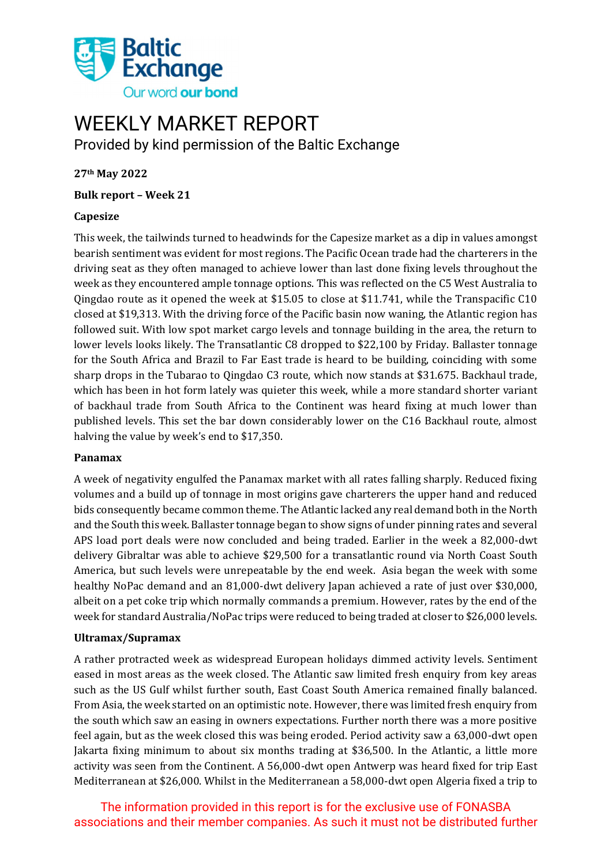

# WEEKLY MARKET REPORT

Provided by kind permission of the Baltic Exchange

**27th May 2022**

**Bulk report – Week 21**

#### **Capesize**

This week, the tailwinds turned to headwinds for the Capesize market as a dip in values amongst bearish sentiment was evident for most regions. The Pacific Ocean trade had the charterers in the driving seat as they often managed to achieve lower than last done fixing levels throughout the week as they encountered ample tonnage options. This was reflected on the C5 West Australia to Qingdao route as it opened the week at \$15.05 to close at \$11.741, while the Transpacific C10 closed at \$19,313. With the driving force of the Pacific basin now waning, the Atlantic region has followed suit. With low spot market cargo levels and tonnage building in the area, the return to lower levels looks likely. The Transatlantic C8 dropped to \$22,100 by Friday. Ballaster tonnage for the South Africa and Brazil to Far East trade is heard to be building, coinciding with some sharp drops in the Tubarao to Qingdao C3 route, which now stands at \$31.675. Backhaul trade, which has been in hot form lately was quieter this week, while a more standard shorter variant of backhaul trade from South Africa to the Continent was heard fixing at much lower than published levels. This set the bar down considerably lower on the C16 Backhaul route, almost halving the value by week's end to \$17,350.

#### **Panamax**

A week of negativity engulfed the Panamax market with all rates falling sharply. Reduced fixing volumes and a build up of tonnage in most origins gave charterers the upper hand and reduced bids consequently became common theme. The Atlantic lacked any real demand both in the North and the South this week. Ballaster tonnage began to show signs of under pinning rates and several APS load port deals were now concluded and being traded. Earlier in the week a 82,000-dwt delivery Gibraltar was able to achieve \$29,500 for a transatlantic round via North Coast South America, but such levels were unrepeatable by the end week. Asia began the week with some healthy NoPac demand and an 81,000-dwt delivery Japan achieved a rate of just over \$30,000, albeit on a pet coke trip which normally commands a premium. However, rates by the end of the week for standard Australia/NoPac trips were reduced to being traded at closer to \$26,000 levels.

#### **Ultramax/Supramax**

A rather protracted week as widespread European holidays dimmed activity levels. Sentiment eased in most areas as the week closed. The Atlantic saw limited fresh enquiry from key areas such as the US Gulf whilst further south, East Coast South America remained finally balanced. From Asia, the week started on an optimistic note. However, there was limited fresh enquiry from the south which saw an easing in owners expectations. Further north there was a more positive feel again, but as the week closed this was being eroded. Period activity saw a 63,000-dwt open Jakarta fixing minimum to about six months trading at \$36,500. In the Atlantic, a little more activity was seen from the Continent. A 56,000-dwt open Antwerp was heard fixed for trip East Mediterranean at \$26,000. Whilst in the Mediterranean a 58,000-dwt open Algeria fixed a trip to

The information provided in this report is for the exclusive use of FONASBA associations and their member companies. As such it must not be distributed further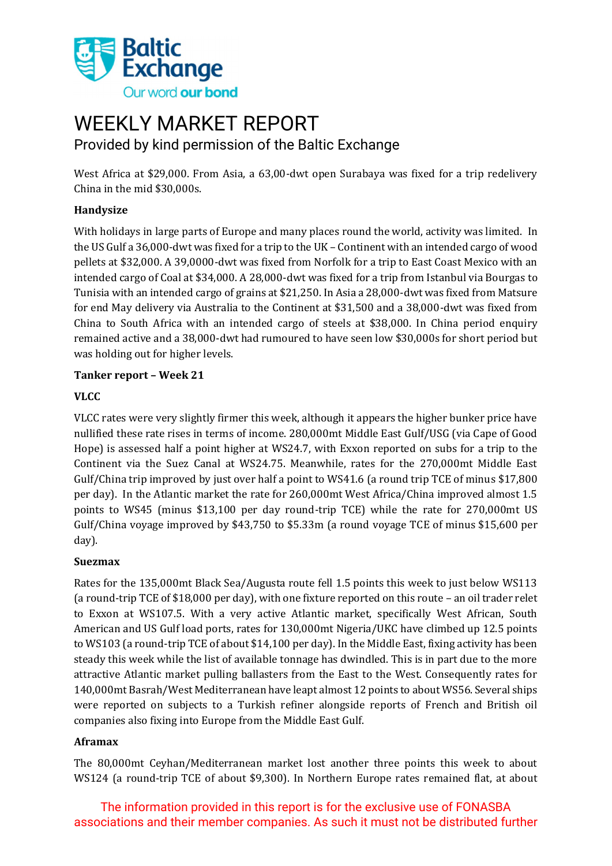

### WEEKLY MARKET REPORT Provided by kind permission of the Baltic Exchange

West Africa at \$29,000. From Asia, a 63,00-dwt open Surabaya was fixed for a trip redelivery China in the mid \$30,000s.

#### **Handysize**

With holidays in large parts of Europe and many places round the world, activity was limited. In the US Gulf a 36,000-dwt was fixed for a trip to the UK – Continent with an intended cargo of wood pellets at \$32,000. A 39,0000-dwt was fixed from Norfolk for a trip to East Coast Mexico with an intended cargo of Coal at \$34,000. A 28,000-dwt was fixed for a trip from Istanbul via Bourgas to Tunisia with an intended cargo of grains at \$21,250. In Asia a 28,000-dwt was fixed from Matsure for end May delivery via Australia to the Continent at \$31,500 and a 38,000-dwt was fixed from China to South Africa with an intended cargo of steels at \$38,000. In China period enquiry remained active and a 38,000-dwt had rumoured to have seen low \$30,000s for short period but was holding out for higher levels.

#### **Tanker report – Week 21**

#### **VLCC**

VLCC rates were very slightly firmer this week, although it appears the higher bunker price have nullified these rate rises in terms of income. 280,000mt Middle East Gulf/USG (via Cape of Good Hope) is assessed half a point higher at WS24.7, with Exxon reported on subs for a trip to the Continent via the Suez Canal at WS24.75. Meanwhile, rates for the 270,000mt Middle East Gulf/China trip improved by just over half a point to WS41.6 (a round trip TCE of minus \$17,800 per day). In the Atlantic market the rate for 260,000mt West Africa/China improved almost 1.5 points to WS45 (minus \$13,100 per day round-trip TCE) while the rate for 270,000mt US Gulf/China voyage improved by \$43,750 to \$5.33m (a round voyage TCE of minus \$15,600 per day).

#### **Suezmax**

Rates for the 135,000mt Black Sea/Augusta route fell 1.5 points this week to just below WS113 (a round-trip TCE of \$18,000 per day), with one fixture reported on this route – an oil trader relet to Exxon at WS107.5. With a very active Atlantic market, specifically West African, South American and US Gulf load ports, rates for 130,000mt Nigeria/UKC have climbed up 12.5 points to WS103 (a round-trip TCE of about \$14,100 per day). In the Middle East, fixing activity has been steady this week while the list of available tonnage has dwindled. This is in part due to the more attractive Atlantic market pulling ballasters from the East to the West. Consequently rates for 140,000mt Basrah/West Mediterranean have leapt almost 12 points to about WS56. Several ships were reported on subjects to a Turkish refiner alongside reports of French and British oil companies also fixing into Europe from the Middle East Gulf.

#### **Aframax**

The 80,000mt Ceyhan/Mediterranean market lost another three points this week to about WS124 (a round-trip TCE of about \$9,300). In Northern Europe rates remained flat, at about

The information provided in this report is for the exclusive use of FONASBA associations and their member companies. As such it must not be distributed further